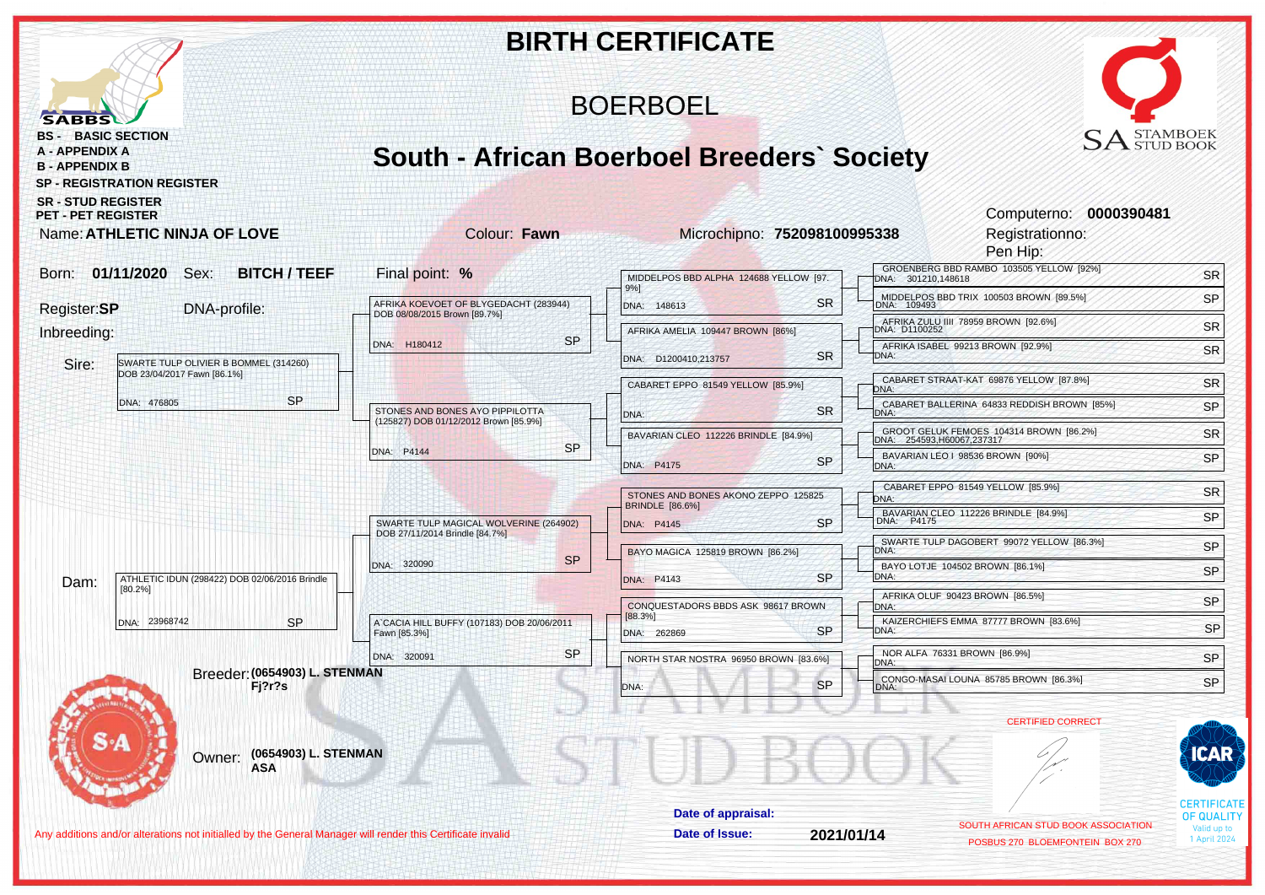|                                                                                                                  |                                                                       | <b>BIRTH CERTIFICATE</b>                                              |                             |                                                                        |                                         |
|------------------------------------------------------------------------------------------------------------------|-----------------------------------------------------------------------|-----------------------------------------------------------------------|-----------------------------|------------------------------------------------------------------------|-----------------------------------------|
| <b>SABBS</b>                                                                                                     |                                                                       | <b>BOERBOEL</b>                                                       |                             |                                                                        |                                         |
| <b>BS - BASIC SECTION</b><br><b>A - APPENDIX A</b><br><b>B - APPENDIX B</b><br><b>SP - REGISTRATION REGISTER</b> |                                                                       | <b>South - African Boerboel Breeders' Society</b>                     |                             | $\text{SA}^\text{\tiny STAMBOEK}\ \text{\tiny STUD BOOK}$              |                                         |
| <b>SR - STUD REGISTER</b><br><b>PET - PET REGISTER</b><br>Name: ATHLETIC NINJA OF LOVE                           | Colour: Fawn                                                          | Microchipno: 752098100995338                                          |                             | Computerno: 0000390481<br>Registrationno:<br>Pen Hip:                  |                                         |
| 01/11/2020<br><b>BITCH / TEEF</b><br>Sex:<br>Born:                                                               | Final point: %                                                        | MIDDELPOS BBD ALPHA 124688 YELLOW [97.                                |                             | GROENBERG BBD RAMBO 103505 YELLOW [92%]                                | <b>SR</b>                               |
|                                                                                                                  |                                                                       | 9%]<br><b>SR</b>                                                      | DNA: 301210,148618          | MIDDELPOS BBD TRIX 100503 BROWN [89.5%]                                | SP                                      |
| Register:SP<br>DNA-profile:                                                                                      | AFRIKA KOEVOET OF BLYGEDACHT (283944)<br>DOB 08/08/2015 Brown [89.7%] | DNA: 148613                                                           |                             | AFRIKA ZULU IIII 78959 BROWN [92.6%]<br>DNA: D1100252                  | <b>SR</b>                               |
| Inbreeding:<br>SWARTE TULP OLIVIER B BOMMEL (314260)<br>Sire:                                                    | <b>SP</b><br>DNA: H180412                                             | AFRIKA AMELIA 109447 BROWN [86%]<br><b>SR</b><br>DNA: D1200410,213757 | DNA:                        | AFRIKA ISABEL 99213 BROWN [92.9%]                                      | SR                                      |
| DOB 23/04/2017 Fawn [86.1%]                                                                                      |                                                                       | CABARET EPPO 81549 YELLOW [85.9%]                                     | DNA:                        | CABARET STRAAT-KAT 69876 YELLOW [87.8%]                                | <b>SR</b>                               |
| <b>SP</b><br>DNA: 476805                                                                                         | STONES AND BONES AYO PIPPILOTTA                                       | <b>SR</b><br>DNA:                                                     | DNA:                        | CABARET BALLERINA 64833 REDDISH BROWN [85%]                            | SP                                      |
|                                                                                                                  | (125827) DOB 01/12/2012 Brown [85.9%]                                 | BAVARIAN CLEO 112226 BRINDLE [84.9%]                                  | DNA: 254593, H60067, 237317 | GROOT GELUK FEMOES 104314 BROWN [86.2%]                                | <b>SR</b>                               |
|                                                                                                                  | <b>SP</b><br>DNA: P4144                                               | SP<br>DNA: P4175                                                      | DNA:                        | BAVARIAN LEO   98536 BROWN [90%]                                       | SP                                      |
|                                                                                                                  |                                                                       | STONES AND BONES AKONO ZEPPO 125825                                   | DNA:                        | CABARET EPPO 81549 YELLOW [85.9%]                                      | <b>SR</b>                               |
|                                                                                                                  | SWARTE TULP MAGICAL WOLVERINE (264902)                                | <b>BRINDLE</b> [86.6%]<br><b>SP</b><br>DNA: P4145                     |                             | BAVARIAN CLEO 112226 BRINDLE [84.9%]<br>DNA: P4175                     | SP                                      |
|                                                                                                                  | DOB 27/11/2014 Brindle [84.7%]                                        |                                                                       |                             | SWARTE TULP DAGOBERT 99072 YELLOW [86.3%]                              | SP                                      |
|                                                                                                                  | <b>SP</b><br>DNA: 320090                                              | BAYO MAGICA 125819 BROWN [86.2%]                                      | DNA:                        | BAYO LOTJE 104502 BROWN [86.1%]                                        | SP                                      |
| ATHLETIC IDUN (298422) DOB 02/06/2016 Brindle<br>Dam:<br>[80.2%]                                                 |                                                                       | <b>SP</b><br>DNA: P4143                                               | DNA:                        | AFRIKA OLUF 90423 BROWN [86.5%]                                        |                                         |
| DNA: 23968742<br><b>SP</b>                                                                                       | A'CACIA HILL BUFFY (107183) DOB 20/06/2011                            | CONQUESTADORS BBDS ASK 98617 BROWN<br>[88.3%]                         | DNA:                        | KAIZERCHIEFS EMMA 87777 BROWN [83.6%]                                  | SP                                      |
|                                                                                                                  | Fawn [85.3%]                                                          | <b>SP</b><br>DNA: 262869                                              | DNA:                        |                                                                        | SP                                      |
| Breeder: (0654903) L. STENMAN                                                                                    | <b>SP</b><br>DNA: 320091                                              | NORTH STAR NOSTRA 96950 BROWN [83.6%]                                 | DNA:                        | NOR ALFA 76331 BROWN [86.9%]                                           | SP                                      |
| Fj?r?s                                                                                                           |                                                                       | SP.<br>ONA:                                                           | <b>DIVA</b>                 | CONGO-MASAI LOUNA 85785 BROWN [86.3%]                                  | <b>SP</b>                               |
|                                                                                                                  |                                                                       |                                                                       |                             | <b>CERTIFIED CORRECT</b>                                               |                                         |
| (0654903) L. STENMAN<br>Owner:<br><b>ASA</b>                                                                     |                                                                       |                                                                       |                             |                                                                        | CAR                                     |
|                                                                                                                  |                                                                       | Date of appraisal:                                                    |                             |                                                                        | <b>CERTIFICATE</b><br><b>OF QUALITY</b> |
| Any additions and/or alterations not initialled by the General Manager will render this Certificate invalid      |                                                                       | Date of Issue:<br>2021/01/14                                          |                             | SOUTH AFRICAN STUD BOOK ASSOCIATION<br>POSBUS 270 BLOEMFONTEIN BOX 270 | Valid up to<br>1 April 2024             |
|                                                                                                                  |                                                                       |                                                                       |                             |                                                                        |                                         |